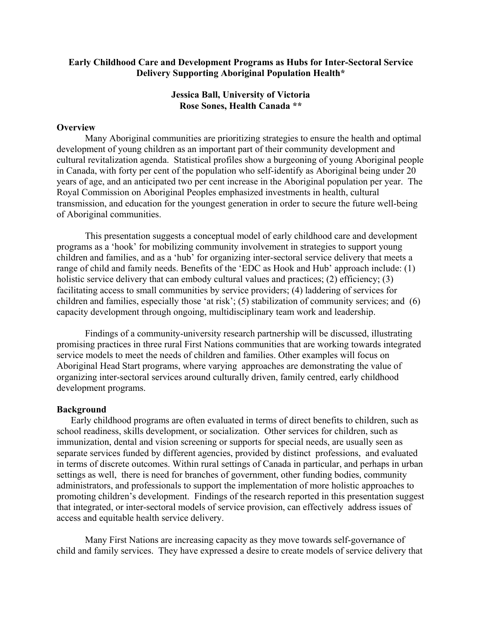#### **Early Childhood Care and Development Programs as Hubs for Inter-Sectoral Service Delivery Supporting Aboriginal Population Health\***

### **Jessica Ball, University of Victoria Rose Sones, Health Canada \*\***

#### **Overview**

Many Aboriginal communities are prioritizing strategies to ensure the health and optimal development of young children as an important part of their community development and cultural revitalization agenda. Statistical profiles show a burgeoning of young Aboriginal people in Canada, with forty per cent of the population who self-identify as Aboriginal being under 20 years of age, and an anticipated two per cent increase in the Aboriginal population per year. The Royal Commission on Aboriginal Peoples emphasized investments in health, cultural transmission, and education for the youngest generation in order to secure the future well-being of Aboriginal communities.

This presentation suggests a conceptual model of early childhood care and development programs as a 'hook' for mobilizing community involvement in strategies to support young children and families, and as a 'hub' for organizing inter-sectoral service delivery that meets a range of child and family needs. Benefits of the 'EDC as Hook and Hub' approach include: (1) holistic service delivery that can embody cultural values and practices; (2) efficiency; (3) facilitating access to small communities by service providers; (4) laddering of services for children and families, especially those 'at risk'; (5) stabilization of community services; and (6) capacity development through ongoing, multidisciplinary team work and leadership.

Findings of a community-university research partnership will be discussed, illustrating promising practices in three rural First Nations communities that are working towards integrated service models to meet the needs of children and families. Other examples will focus on Aboriginal Head Start programs, where varying approaches are demonstrating the value of organizing inter-sectoral services around culturally driven, family centred, early childhood development programs.

#### **Background**

Early childhood programs are often evaluated in terms of direct benefits to children, such as school readiness, skills development, or socialization. Other services for children, such as immunization, dental and vision screening or supports for special needs, are usually seen as separate services funded by different agencies, provided by distinct professions, and evaluated in terms of discrete outcomes. Within rural settings of Canada in particular, and perhaps in urban settings as well, there is need for branches of government, other funding bodies, community administrators, and professionals to support the implementation of more holistic approaches to promoting children's development. Findings of the research reported in this presentation suggest that integrated, or inter-sectoral models of service provision, can effectively address issues of access and equitable health service delivery.

Many First Nations are increasing capacity as they move towards self-governance of child and family services. They have expressed a desire to create models of service delivery that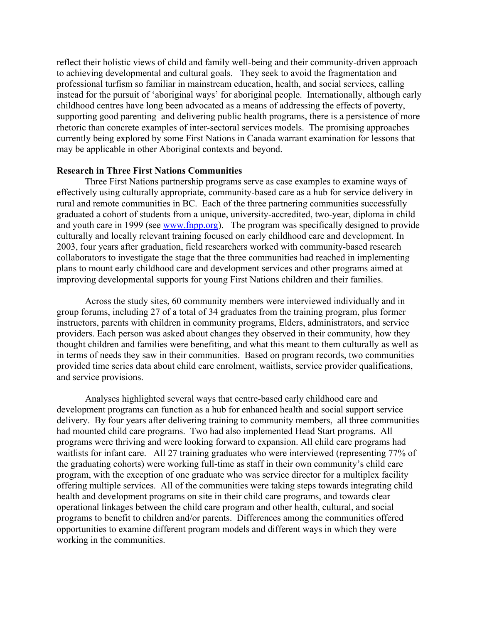reflect their holistic views of child and family well-being and their community-driven approach to achieving developmental and cultural goals. They seek to avoid the fragmentation and professional turfism so familiar in mainstream education, health, and social services, calling instead for the pursuit of 'aboriginal ways' for aboriginal people. Internationally, although early childhood centres have long been advocated as a means of addressing the effects of poverty, supporting good parenting and delivering public health programs, there is a persistence of more rhetoric than concrete examples of inter-sectoral services models. The promising approaches currently being explored by some First Nations in Canada warrant examination for lessons that may be applicable in other Aboriginal contexts and beyond.

#### **Research in Three First Nations Communities**

Three First Nations partnership programs serve as case examples to examine ways of effectively using culturally appropriate, community-based care as a hub for service delivery in rural and remote communities in BC. Each of the three partnering communities successfully graduated a cohort of students from a unique, university-accredited, two-year, diploma in child and youth care in 1999 (see [www.fnpp.org](http://www.fnpp.org/)). The program was specifically designed to provide culturally and locally relevant training focused on early childhood care and development. In 2003, four years after graduation, field researchers worked with community-based research collaborators to investigate the stage that the three communities had reached in implementing plans to mount early childhood care and development services and other programs aimed at improving developmental supports for young First Nations children and their families.

Across the study sites, 60 community members were interviewed individually and in group forums, including 27 of a total of 34 graduates from the training program, plus former instructors, parents with children in community programs, Elders, administrators, and service providers. Each person was asked about changes they observed in their community, how they thought children and families were benefiting, and what this meant to them culturally as well as in terms of needs they saw in their communities. Based on program records, two communities provided time series data about child care enrolment, waitlists, service provider qualifications, and service provisions.

Analyses highlighted several ways that centre-based early childhood care and development programs can function as a hub for enhanced health and social support service delivery. By four years after delivering training to community members, all three communities had mounted child care programs. Two had also implemented Head Start programs. All programs were thriving and were looking forward to expansion. All child care programs had waitlists for infant care. All 27 training graduates who were interviewed (representing 77% of the graduating cohorts) were working full-time as staff in their own community's child care program, with the exception of one graduate who was service director for a multiplex facility offering multiple services. All of the communities were taking steps towards integrating child health and development programs on site in their child care programs, and towards clear operational linkages between the child care program and other health, cultural, and social programs to benefit to children and/or parents. Differences among the communities offered opportunities to examine different program models and different ways in which they were working in the communities.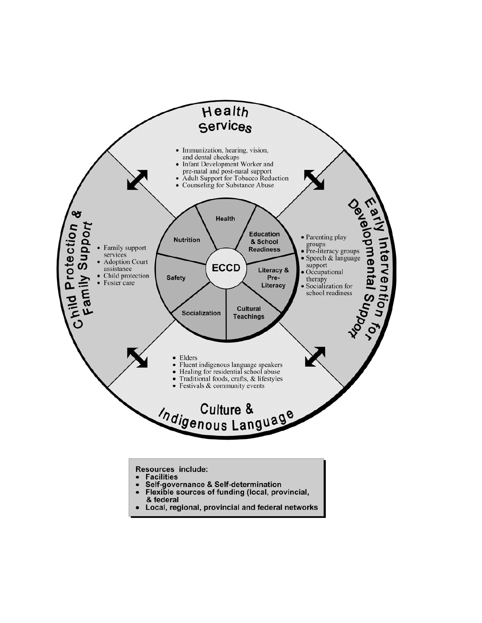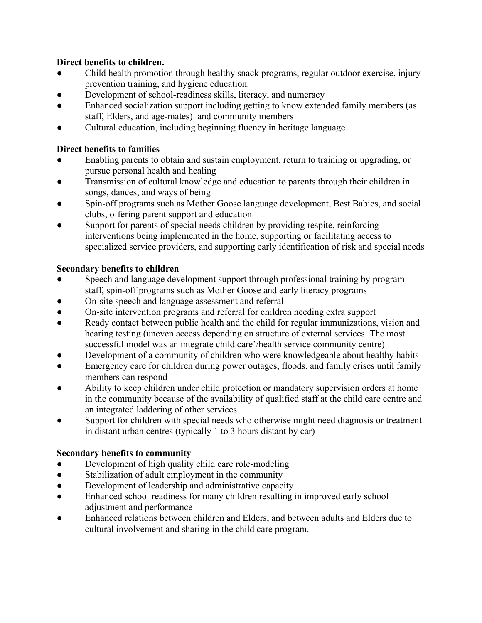# **Direct benefits to children.**

- Child health promotion through healthy snack programs, regular outdoor exercise, injury prevention training, and hygiene education.
- Development of school-readiness skills, literacy, and numeracy
- Enhanced socialization support including getting to know extended family members (as staff, Elders, and age-mates) and community members
- Cultural education, including beginning fluency in heritage language

# **Direct benefits to families**

- Enabling parents to obtain and sustain employment, return to training or upgrading, or pursue personal health and healing
- Transmission of cultural knowledge and education to parents through their children in songs, dances, and ways of being
- Spin-off programs such as Mother Goose language development, Best Babies, and social clubs, offering parent support and education
- Support for parents of special needs children by providing respite, reinforcing interventions being implemented in the home, supporting or facilitating access to specialized service providers, and supporting early identification of risk and special needs

# **Secondary benefits to children**

- Speech and language development support through professional training by program staff, spin-off programs such as Mother Goose and early literacy programs
- On-site speech and language assessment and referral
- On-site intervention programs and referral for children needing extra support
- Ready contact between public health and the child for regular immunizations, vision and hearing testing (uneven access depending on structure of external services. The most successful model was an integrate child care'/health service community centre)
- Development of a community of children who were knowledgeable about healthy habits
- Emergency care for children during power outages, floods, and family crises until family members can respond
- Ability to keep children under child protection or mandatory supervision orders at home in the community because of the availability of qualified staff at the child care centre and an integrated laddering of other services
- Support for children with special needs who otherwise might need diagnosis or treatment in distant urban centres (typically 1 to 3 hours distant by car)

## **Secondary benefits to community**

- Development of high quality child care role-modeling
- Stabilization of adult employment in the community
- Development of leadership and administrative capacity
- Enhanced school readiness for many children resulting in improved early school adjustment and performance
- Enhanced relations between children and Elders, and between adults and Elders due to cultural involvement and sharing in the child care program.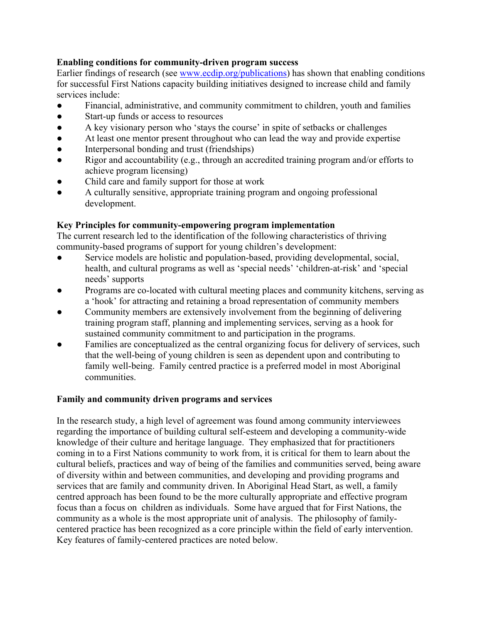## **Enabling conditions for community-driven program success**

Earlier findings of research (see [www.ecdip.org/publications](http://www.ecdip.org/publications)) has shown that enabling conditions for successful First Nations capacity building initiatives designed to increase child and family services include:

- Financial, administrative, and community commitment to children, youth and families
- Start-up funds or access to resources
- A key visionary person who 'stays the course' in spite of setbacks or challenges
- At least one mentor present throughout who can lead the way and provide expertise
- Interpersonal bonding and trust (friendships)
- Rigor and accountability (e.g., through an accredited training program and/or efforts to achieve program licensing)
- Child care and family support for those at work
- A culturally sensitive, appropriate training program and ongoing professional development.

# **Key Principles for community-empowering program implementation**

The current research led to the identification of the following characteristics of thriving community-based programs of support for young children's development:

- Service models are holistic and population-based, providing developmental, social, health, and cultural programs as well as 'special needs' 'children-at-risk' and 'special needs' supports
- Programs are co-located with cultural meeting places and community kitchens, serving as a 'hook' for attracting and retaining a broad representation of community members
- Community members are extensively involvement from the beginning of delivering training program staff, planning and implementing services, serving as a hook for sustained community commitment to and participation in the programs.
- Families are conceptualized as the central organizing focus for delivery of services, such that the well-being of young children is seen as dependent upon and contributing to family well-being. Family centred practice is a preferred model in most Aboriginal communities.

# **Family and community driven programs and services**

In the research study, a high level of agreement was found among community interviewees regarding the importance of building cultural self-esteem and developing a community-wide knowledge of their culture and heritage language. They emphasized that for practitioners coming in to a First Nations community to work from, it is critical for them to learn about the cultural beliefs, practices and way of being of the families and communities served, being aware of diversity within and between communities, and developing and providing programs and services that are family and community driven. In Aboriginal Head Start, as well, a family centred approach has been found to be the more culturally appropriate and effective program focus than a focus on children as individuals. Some have argued that for First Nations, the community as a whole is the most appropriate unit of analysis. The philosophy of familycentered practice has been recognized as a core principle within the field of early intervention. Key features of family-centered practices are noted below.